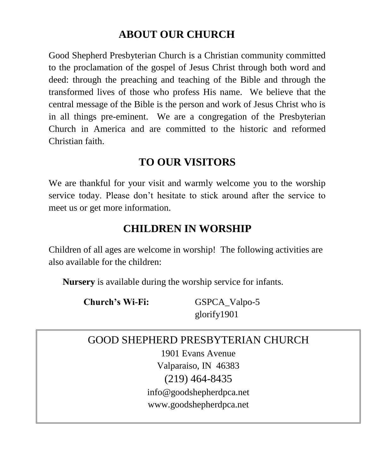# **ABOUT OUR CHURCH**

Good Shepherd Presbyterian Church is a Christian community committed to the proclamation of the gospel of Jesus Christ through both word and deed: through the preaching and teaching of the Bible and through the transformed lives of those who profess His name. We believe that the central message of the Bible is the person and work of Jesus Christ who is in all things pre-eminent. We are a congregation of the Presbyterian Church in America and are committed to the historic and reformed Christian faith.

# **TO OUR VISITORS**

We are thankful for your visit and warmly welcome you to the worship service today. Please don't hesitate to stick around after the service to meet us or get more information.

# **CHILDREN IN WORSHIP**

Children of all ages are welcome in worship! The following activities are also available for the children:

**Nursery** is available during the worship service for infants.

**Church's Wi-Fi:** GSPCA\_Valpo-5 glorify1901

# GOOD SHEPHERD PRESBYTERIAN CHURCH 1901 Evans Avenue Valparaiso, IN 46383 (219) 464-8435 [info@goodshepherdpca.net](mailto:info@goodshepherdpca.net) www.goodshepherdpca.net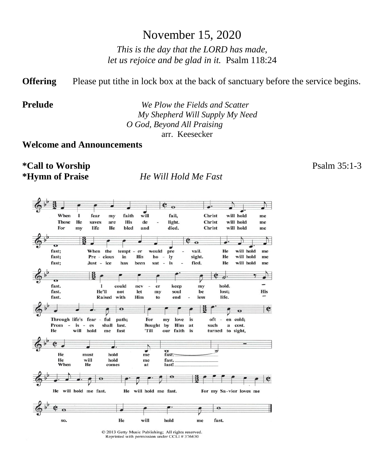## November 15, 2020

*This is the day that the LORD has made, let us rejoice and be glad in it.* Psalm 118:24

**Offering** Please put tithe in lock box at the back of sanctuary before the service begins.

**Prelude** *We Plow the Fields and Scatter My Shepherd Will Supply My Need O God, Beyond All Praising* arr. Keesecker

**Welcome and Announcements**

**\*Call to Worship** Psalm 35:1-3

**\*Hymn of Praise** *He Will Hold Me Fast* 

 $e_{\alpha}$  $\frac{1}{\text{will}}$ faith fail, Christ will hold When  $\bf{I}$ fear my me **Those** He saves are **His** de light. **Christ** will hold me will hold For life He bled and died. Christ my me P.  $\sigma$ fast: When the would  $\overline{pre}$ vail. He will hold me tempt  $-er$ fast; Pre - cious in **His** ho  $\overline{\phantom{a}}$ ly sight. He will hold  $_{\rm me}$ fast; fied. He will hold Just - ice has been sat  $\mathcal{L}$ is me ¢ d. ត fast. could hold.  $\mathbf{I}$ nev  $er$ keep my fast. He'll not let my soul be lost; His Him end less life. fast. Raised with  $f<sub>0</sub>$  $\overline{\mathbf{o}}$  $\bullet$  $\ddot{\mathbf{o}}$ Through life's fear path; oft en cold; - ful For my love is  $\sim$ Prom  $-$  is  $-$  es shall last. **Bought** by Him at such a cost. will hold He 'Till turned to sight, me fast our faith is ٨ ٠ ъ  $\frac{\sigma}{\text{fast}}$ He must hold  $m<sub>e</sub>$ will<br>He hold He fast. me When comes last! at ¢ He will hold me fast. He will hold me fast. For my Sa-vior loves me  $\bullet$ will He hold fast. SO. me

> © 2013 Getty Music Publishing; All rights reserved. Reprinted with permission under CCLI # 376630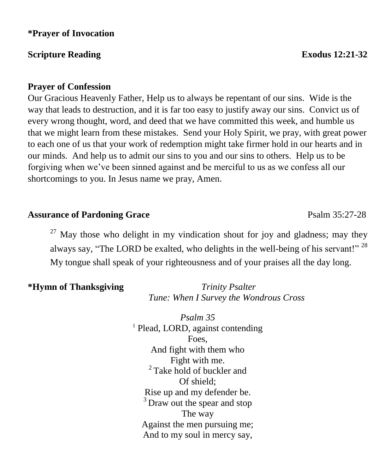#### **\*Prayer of Invocation**

#### **Scripture Reading Exodus 12:21-32**

#### **Prayer of Confession**

Our Gracious Heavenly Father, Help us to always be repentant of our sins. Wide is the way that leads to destruction, and it is far too easy to justify away our sins. Convict us of every wrong thought, word, and deed that we have committed this week, and humble us that we might learn from these mistakes. Send your Holy Spirit, we pray, with great power to each one of us that your work of redemption might take firmer hold in our hearts and in our minds. And help us to admit our sins to you and our sins to others. Help us to be forgiving when we've been sinned against and be merciful to us as we confess all our shortcomings to you. In Jesus name we pray, Amen.

#### Assurance of Pardoning Grace **Particle 120 and Psalm 35:27-28**

 $27$  May those who delight in my vindication shout for joy and gladness; may they always say, "The LORD be exalted, who delights in the well-being of his servant!"<sup>28</sup> My tongue shall speak of your righteousness and of your praises all the day long.

#### **\*Hymn of Thanksgiving** *Trinity Psalter*

*Tune: When I Survey the Wondrous Cross*

*Psalm 35* <sup>1</sup> Plead, LORD, against contending Foes, And fight with them who Fight with me. <sup>2</sup> Take hold of buckler and Of shield; Rise up and my defender be. <sup>3</sup> Draw out the spear and stop The way Against the men pursuing me; And to my soul in mercy say,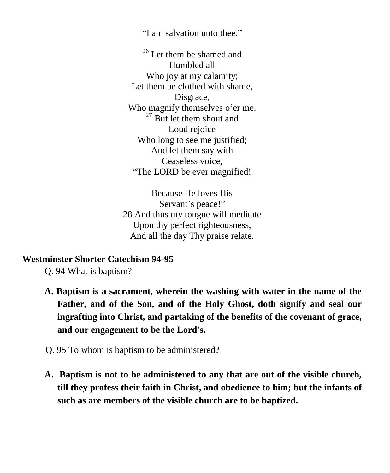"I am salvation unto thee."

<sup>26</sup> Let them be shamed and Humbled all Who joy at my calamity; Let them be clothed with shame, Disgrace, Who magnify themselves o'er me.  $27$  But let them shout and Loud rejoice Who long to see me justified; And let them say with Ceaseless voice, "The LORD be ever magnified!

Because He loves His Servant's peace!" 28 And thus my tongue will meditate Upon thy perfect righteousness, And all the day Thy praise relate.

#### **Westminster Shorter Catechism 94-95**

Q. 94 What is baptism?

- **A. Baptism is a sacrament, wherein the washing with water in the name of the Father, and of the Son, and of the Holy Ghost, doth signify and seal our ingrafting into Christ, and partaking of the benefits of the covenant of grace, and our engagement to be the Lord's.**
- Q. 95 To whom is baptism to be administered?
- **A. Baptism is not to be administered to any that are out of the visible church, till they profess their faith in Christ, and obedience to him; but the infants of such as are members of the visible church are to be baptized.**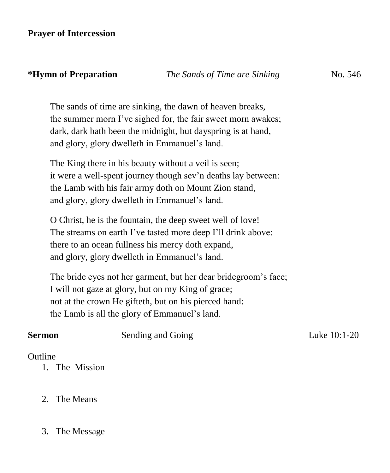The sands of time are sinking, the dawn of heaven breaks, the summer morn I've sighed for, the fair sweet morn awakes; dark, dark hath been the midnight, but dayspring is at hand, and glory, glory dwelleth in Emmanuel's land.

The King there in his beauty without a veil is seen; it were a well-spent journey though sev'n deaths lay between: the Lamb with his fair army doth on Mount Zion stand, and glory, glory dwelleth in Emmanuel's land.

O Christ, he is the fountain, the deep sweet well of love! The streams on earth I've tasted more deep I'll drink above: there to an ocean fullness his mercy doth expand, and glory, glory dwelleth in Emmanuel's land.

The bride eyes not her garment, but her dear bridegroom's face; I will not gaze at glory, but on my King of grace; not at the crown He gifteth, but on his pierced hand: the Lamb is all the glory of Emmanuel's land.

**Sermon Sending and Going Sending 20.1-20** 

#### **Outline**

- 1. The Mission
- 2. The Means
- 3. The Message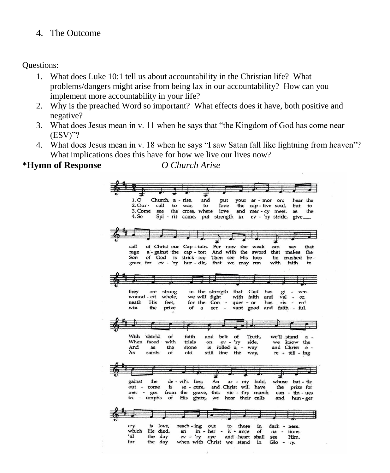4. The Outcome

Questions:

- 1. What does Luke 10:1 tell us about accountability in the Christian life? What problems/dangers might arise from being lax in our accountability? How can you implement more accountability in your life?
- 2. Why is the preached Word so important? What effects does it have, both positive and negative?
- 3. What does Jesus mean in v. 11 when he says that "the Kingdom of God has come near (ESV)"?
- 4. What does Jesus mean in v. 18 when he says "I saw Satan fall like lightning from heaven"? What implications does this have for how we live our lives now?

**\*Hymn of Response** *O Church Arise*

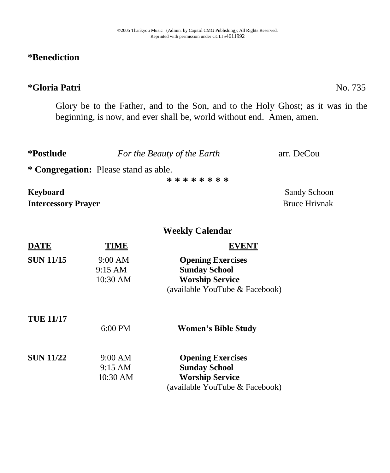### **\*Benediction**

### **\*Gloria Patri** No. 735

Glory be to the Father, and to the Son, and to the Holy Ghost; as it was in the beginning, is now, and ever shall be, world without end. Amen, amen.

| *Postlude                                                | For the Beauty of the Earth | arr. DeCou                           |  |  |  |
|----------------------------------------------------------|-----------------------------|--------------------------------------|--|--|--|
| * Congregation: Please stand as able.<br>* * * * * * * * |                             |                                      |  |  |  |
| Keyboard<br><b>Intercessory Prayer</b>                   |                             | Sandy Schoon<br><b>Bruce Hrivnak</b> |  |  |  |

#### **Weekly Calendar**

| <b>DATE</b>      | TIME              | EVENT                          |
|------------------|-------------------|--------------------------------|
| <b>SUN 11/15</b> | 9:00 AM           | <b>Opening Exercises</b>       |
|                  | $9:15$ AM         | <b>Sunday School</b>           |
|                  | 10:30 AM          | <b>Worship Service</b>         |
|                  |                   | (available YouTube & Facebook) |
| <b>TUE 11/17</b> |                   |                                |
|                  | $6:00 \text{ PM}$ | <b>Women's Bible Study</b>     |
| <b>SUN 11/22</b> | 9:00 AM           | <b>Opening Exercises</b>       |
|                  | $9:15 \text{ AM}$ | <b>Sunday School</b>           |
|                  | 10:30 AM          | <b>Worship Service</b>         |
|                  |                   | (available YouTube & Facebook) |